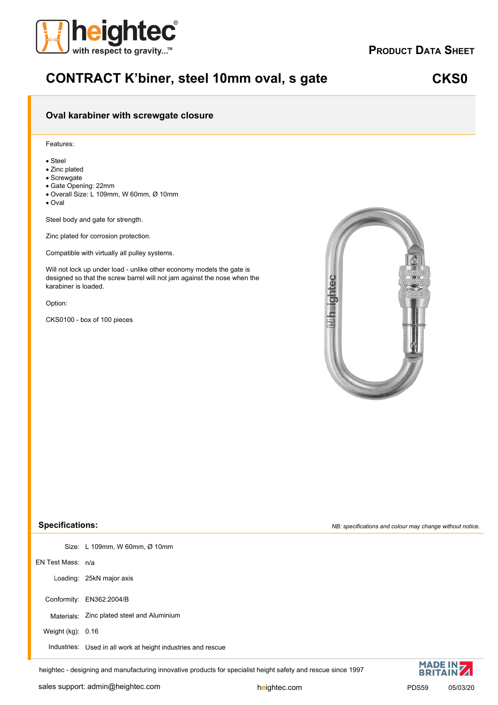

### **PRODUCT DATA SHEET**

# **CONTRACT K'biner, steel 10mm oval, s gate**

### **CKS0**

### **Oval karabiner with screwgate closure**

### Features:

- · Steel
- · Zinc plated
- · Screwgate
- · Gate Opening: 22mm
- · Overall Size: L 109mm, W 60mm, Ø 10mm
- · Oval

Steel body and gate for strength.

Zinc plated for corrosion protection.

Compatible with virtually all pulley systems.

Will not lock up under load - unlike other economy models the gate is designed so that the screw barrel will not jam against the nose when the karabiner is loaded.

Option:

CKS0100 - box of 100 pieces



#### **Specifications:**

Size: L 109mm, W 60mm, Ø 10mm

EN Test Mass: n/a

Loading: 25kN major axis

Conformity: EN362:2004/B

Materials: Zinc plated steel and Aluminium

Weight (kg): 0.16

Industries: Used in all work at height industries and rescue

heightec - designing and manufacturing innovative products for specialist height safety and rescue since 1997

*NB: specifications and colour may change without notice.*